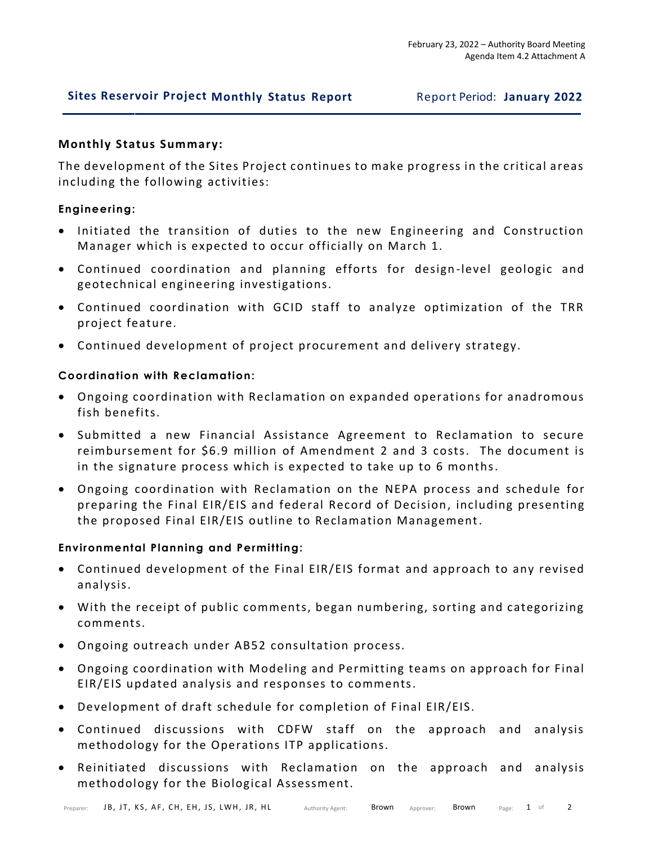# **Sites Reservoir Project Monthly Status Report** Report Period: **January 2022**

# **Monthly Status Summary:**

The development of the Sites Project continues to make progress in the critical areas including the following activities:

# **Engineering:**

- Initiated the transition of duties to the new Engineering and Construction Manager which is expected to occur officially on March 1.
- Continued coordination and planning efforts for design -level geologic and geotechnical engineering investigations.
- Continued coordination with GCID staff to analyze optimization of the TRR project feature.
- Continued development of project procurement and delivery strategy.

# **Coordination with Reclamation:**

- Ongoing coordination with Reclamation on expanded operations for anadromous fish benefits.
- Submitted a new Financial Assistance Agreement to Reclamation to secure reimbursement for \$6.9 million of Amendment 2 and 3 costs. The document is in the signature process which is expected to take up to 6 months.
- Ongoing coordination with Reclamation on the NEPA process and schedule for preparing the Final EIR/EIS and federal Record of Decision, including presenting the proposed Final EIR/EIS outline to Reclamation Management.

# **Environmental Planning and Permitting:**

- Continued development of the Final EIR/EIS format and approach to any revised analysis.
- With the receipt of public comments, began numbering, sorting and categorizing comments.
- Ongoing outreach under AB52 consultation process.
- Ongoing coordination with Modeling and Permitting teams on approach for Final EIR/EIS updated analysis and responses to comments.
- Development of draft schedule for completion of Final EIR/EIS.
- Continued discussions with CDFW staff on the approach and analysis methodology for the Operations ITP applications.
- Reinitiated discussions with Reclamation on the approach and analysis methodology for the Biological Assessment.